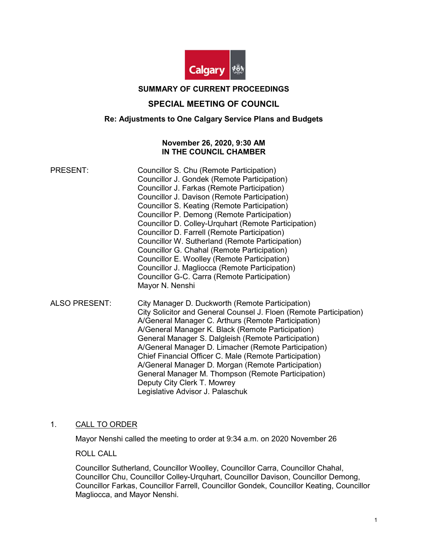

## SUMMARY OF CURRENT PROCEEDINGS

## SPECIAL MEETING OF COUNCIL

## Re: Adjustments to One Calgary Service Plans and Budgets

## November 26, 2020, 9:30 AM IN THE COUNCIL CHAMBER

| <b>PRESENT:</b> | Councillor S. Chu (Remote Participation)             |
|-----------------|------------------------------------------------------|
|                 | Councillor J. Gondek (Remote Participation)          |
|                 | Councillor J. Farkas (Remote Participation)          |
|                 | Councillor J. Davison (Remote Participation)         |
|                 | Councillor S. Keating (Remote Participation)         |
|                 | Councillor P. Demong (Remote Participation)          |
|                 | Councillor D. Colley-Urquhart (Remote Participation) |
|                 | Councillor D. Farrell (Remote Participation)         |
|                 | Councillor W. Sutherland (Remote Participation)      |
|                 | Councillor G. Chahal (Remote Participation)          |
|                 | Councillor E. Woolley (Remote Participation)         |
|                 | Councillor J. Magliocca (Remote Participation)       |
|                 | Councillor G-C. Carra (Remote Participation)         |
|                 | Mayor N. Nenshi                                      |
|                 |                                                      |

ALSO PRESENT: City Manager D. Duckworth (Remote Participation) City Solicitor and General Counsel J. Floen (Remote Participation) A/General Manager C. Arthurs (Remote Participation) A/General Manager K. Black (Remote Participation) General Manager S. Dalgleish (Remote Participation) A/General Manager D. Limacher (Remote Participation) Chief Financial Officer C. Male (Remote Participation) A/General Manager D. Morgan (Remote Participation) General Manager M. Thompson (Remote Participation) Deputy City Clerk T. Mowrey Legislative Advisor J. Palaschuk

### 1. CALL TO ORDER

Mayor Nenshi called the meeting to order at 9:34 a.m. on 2020 November 26

ROLL CALL

Councillor Sutherland, Councillor Woolley, Councillor Carra, Councillor Chahal, Councillor Chu, Councillor Colley-Urquhart, Councillor Davison, Councillor Demong, Councillor Farkas, Councillor Farrell, Councillor Gondek, Councillor Keating, Councillor Magliocca, and Mayor Nenshi.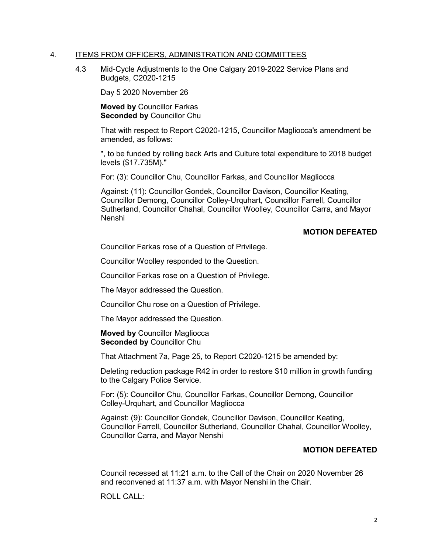### 4. ITEMS FROM OFFICERS, ADMINISTRATION AND COMMITTEES

4.3 Mid-Cycle Adjustments to the One Calgary 2019-2022 Service Plans and Budgets, C2020-1215

Day 5 2020 November 26

Moved by Councillor Farkas Seconded by Councillor Chu

That with respect to Report C2020-1215, Councillor Magliocca's amendment be amended, as follows:

", to be funded by rolling back Arts and Culture total expenditure to 2018 budget levels (\$17.735M)."

For: (3): Councillor Chu, Councillor Farkas, and Councillor Magliocca

Against: (11): Councillor Gondek, Councillor Davison, Councillor Keating, Councillor Demong, Councillor Colley-Urquhart, Councillor Farrell, Councillor Sutherland, Councillor Chahal, Councillor Woolley, Councillor Carra, and Mayor Nenshi

## MOTION DEFEATED

Councillor Farkas rose of a Question of Privilege.

Councillor Woolley responded to the Question.

Councillor Farkas rose on a Question of Privilege.

The Mayor addressed the Question.

Councillor Chu rose on a Question of Privilege.

The Mayor addressed the Question.

Moved by Councillor Magliocca Seconded by Councillor Chu

That Attachment 7a, Page 25, to Report C2020-1215 be amended by:

Deleting reduction package R42 in order to restore \$10 million in growth funding to the Calgary Police Service.

For: (5): Councillor Chu, Councillor Farkas, Councillor Demong, Councillor Colley-Urquhart, and Councillor Magliocca

Against: (9): Councillor Gondek, Councillor Davison, Councillor Keating, Councillor Farrell, Councillor Sutherland, Councillor Chahal, Councillor Woolley, Councillor Carra, and Mayor Nenshi

### MOTION DEFEATED

Council recessed at 11:21 a.m. to the Call of the Chair on 2020 November 26 and reconvened at 11:37 a.m. with Mayor Nenshi in the Chair.

ROLL CALL: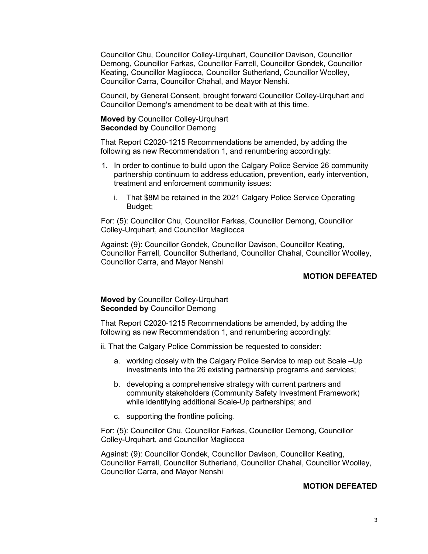Councillor Chu, Councillor Colley-Urquhart, Councillor Davison, Councillor Demong, Councillor Farkas, Councillor Farrell, Councillor Gondek, Councillor Keating, Councillor Magliocca, Councillor Sutherland, Councillor Woolley, Councillor Carra, Councillor Chahal, and Mayor Nenshi.

Council, by General Consent, brought forward Councillor Colley-Urquhart and Councillor Demong's amendment to be dealt with at this time.

Moved by Councillor Colley-Urquhart Seconded by Councillor Demong

That Report C2020-1215 Recommendations be amended, by adding the following as new Recommendation 1, and renumbering accordingly:

- 1. In order to continue to build upon the Calgary Police Service 26 community partnership continuum to address education, prevention, early intervention, treatment and enforcement community issues:
	- i. That \$8M be retained in the 2021 Calgary Police Service Operating Budget;

For: (5): Councillor Chu, Councillor Farkas, Councillor Demong, Councillor Colley-Urquhart, and Councillor Magliocca

Against: (9): Councillor Gondek, Councillor Davison, Councillor Keating, Councillor Farrell, Councillor Sutherland, Councillor Chahal, Councillor Woolley, Councillor Carra, and Mayor Nenshi

## MOTION DEFEATED

### Moved by Councillor Colley-Urquhart Seconded by Councillor Demong

That Report C2020-1215 Recommendations be amended, by adding the following as new Recommendation 1, and renumbering accordingly:

- ii. That the Calgary Police Commission be requested to consider:
	- a. working closely with the Calgary Police Service to map out Scale –Up investments into the 26 existing partnership programs and services;
	- b. developing a comprehensive strategy with current partners and community stakeholders (Community Safety Investment Framework) while identifying additional Scale-Up partnerships; and
	- c. supporting the frontline policing.

For: (5): Councillor Chu, Councillor Farkas, Councillor Demong, Councillor Colley-Urquhart, and Councillor Magliocca

Against: (9): Councillor Gondek, Councillor Davison, Councillor Keating, Councillor Farrell, Councillor Sutherland, Councillor Chahal, Councillor Woolley, Councillor Carra, and Mayor Nenshi

### MOTION DEFEATED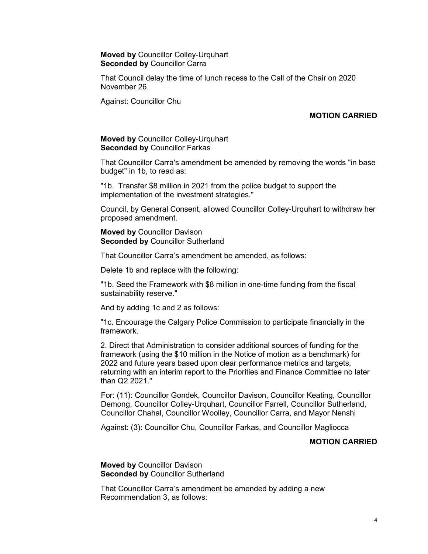Moved by Councillor Colley-Urquhart Seconded by Councillor Carra

That Council delay the time of lunch recess to the Call of the Chair on 2020 November 26.

Against: Councillor Chu

## MOTION CARRIED

#### Moved by Councillor Colley-Urquhart Seconded by Councillor Farkas

That Councillor Carra's amendment be amended by removing the words "in base budget" in 1b, to read as:

"1b. Transfer \$8 million in 2021 from the police budget to support the implementation of the investment strategies."

Council, by General Consent, allowed Councillor Colley-Urquhart to withdraw her proposed amendment.

Moved by Councillor Davison Seconded by Councillor Sutherland

That Councillor Carra's amendment be amended, as follows:

Delete 1b and replace with the following:

"1b. Seed the Framework with \$8 million in one-time funding from the fiscal sustainability reserve."

And by adding 1c and 2 as follows:

"1c. Encourage the Calgary Police Commission to participate financially in the framework.

2. Direct that Administration to consider additional sources of funding for the framework (using the \$10 million in the Notice of motion as a benchmark) for 2022 and future years based upon clear performance metrics and targets, returning with an interim report to the Priorities and Finance Committee no later than Q2 2021."

For: (11): Councillor Gondek, Councillor Davison, Councillor Keating, Councillor Demong, Councillor Colley-Urquhart, Councillor Farrell, Councillor Sutherland, Councillor Chahal, Councillor Woolley, Councillor Carra, and Mayor Nenshi

Against: (3): Councillor Chu, Councillor Farkas, and Councillor Magliocca

#### MOTION CARRIED

Moved by Councillor Davison Seconded by Councillor Sutherland

That Councillor Carra's amendment be amended by adding a new Recommendation 3, as follows: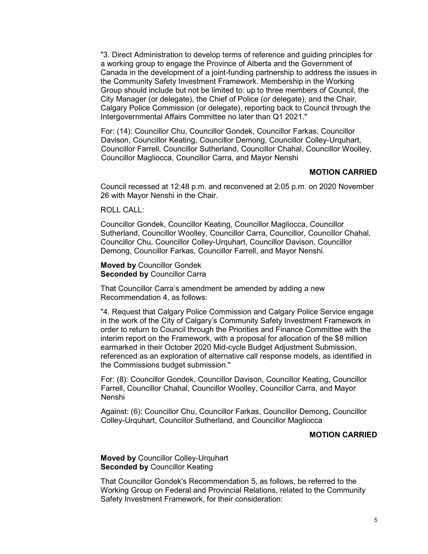"3. Direct Administration to develop terms of reference and guiding principles for a working group to engage the Province of Alberta and the Government of Canada in the development of a joint-funding partnership to address the issues in the Community Safety Investment Framework. Membership in the Working Group should include but not be limited to: up to three members of Council, the City Manager (or delegate), the Chief of Police (or delegate), and the Chair, Calgary Police Commission (or delegate), reporting back to Council through the Intergovernmental Affairs Committee no later than Q1 2021."

For: (14): Councillor Chu, Councillor Gondek, Councillor Farkas, Councillor Davison, Councillor Keating, Councillor Demong, Councillor Colley-Urquhart, Councillor Farrell, Councillor Sutherland, Councillor Chahal, Councillor Woolley, Councillor Magliocca, Councillor Carra, and Mayor Nenshi

#### MOTION CARRIED

Council recessed at 12:48 p.m. and reconvened at 2:05 p.m. on 2020 November 26 with Mayor Nenshi in the Chair.

### ROLL CALL:

Councillor Gondek, Councillor Keating, Councillor Magliocca, Councillor Sutherland, Councillor Woolley, Councillor Carra, Councillor, Councillor Chahal, Councillor Chu, Councillor Colley-Urquhart, Councillor Davison, Councillor Demong, Councillor Farkas, Councillor Farrell, and Mayor Nenshi.

#### Moved by Councillor Gondek Seconded by Councillor Carra

That Councillor Carra's amendment be amended by adding a new Recommendation 4, as follows:

"4. Request that Calgary Police Commission and Calgary Police Service engage in the work of the City of Calgary's Community Safety Investment Framework in order to return to Council through the Priorities and Finance Committee with the interim report on the Framework, with a proposal for allocation of the \$8 million earmarked in their October 2020 Mid-cycle Budget Adjustment Submission, referenced as an exploration of alternative call response models, as identified in the Commissions budget submission."

For: (8): Councillor Gondek, Councillor Davison, Councillor Keating, Councillor Farrell, Councillor Chahal, Councillor Woolley, Councillor Carra, and Mayor Nenshi

Against: (6): Councillor Chu, Councillor Farkas, Councillor Demong, Councillor Colley-Urquhart, Councillor Sutherland, and Councillor Magliocca

## MOTION CARRIED

Moved by Councillor Colley-Urquhart Seconded by Councillor Keating

That Councillor Gondek's Recommendation 5, as follows, be referred to the Working Group on Federal and Provincial Relations, related to the Community Safety Investment Framework, for their consideration: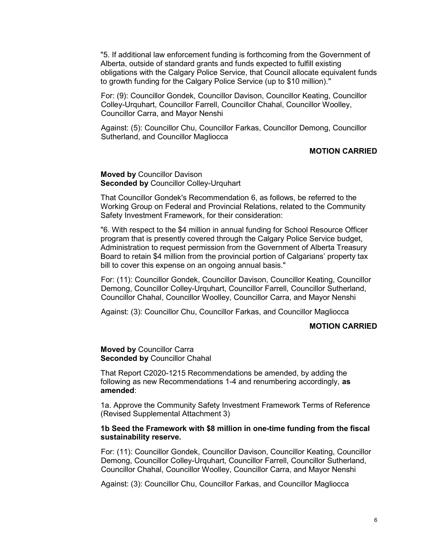"5. If additional law enforcement funding is forthcoming from the Government of Alberta, outside of standard grants and funds expected to fulfill existing obligations with the Calgary Police Service, that Council allocate equivalent funds to growth funding for the Calgary Police Service (up to \$10 million)."

For: (9): Councillor Gondek, Councillor Davison, Councillor Keating, Councillor Colley-Urquhart, Councillor Farrell, Councillor Chahal, Councillor Woolley, Councillor Carra, and Mayor Nenshi

Against: (5): Councillor Chu, Councillor Farkas, Councillor Demong, Councillor Sutherland, and Councillor Magliocca

## MOTION CARRIED

Moved by Councillor Davison Seconded by Councillor Colley-Urquhart

That Councillor Gondek's Recommendation 6, as follows, be referred to the Working Group on Federal and Provincial Relations, related to the Community Safety Investment Framework, for their consideration:

"6. With respect to the \$4 million in annual funding for School Resource Officer program that is presently covered through the Calgary Police Service budget, Administration to request permission from the Government of Alberta Treasury Board to retain \$4 million from the provincial portion of Calgarians' property tax bill to cover this expense on an ongoing annual basis."

For: (11): Councillor Gondek, Councillor Davison, Councillor Keating, Councillor Demong, Councillor Colley-Urquhart, Councillor Farrell, Councillor Sutherland, Councillor Chahal, Councillor Woolley, Councillor Carra, and Mayor Nenshi

Against: (3): Councillor Chu, Councillor Farkas, and Councillor Magliocca

### MOTION CARRIED

Moved by Councillor Carra Seconded by Councillor Chahal

That Report C2020-1215 Recommendations be amended, by adding the following as new Recommendations 1-4 and renumbering accordingly, as amended:

1a. Approve the Community Safety Investment Framework Terms of Reference (Revised Supplemental Attachment 3)

#### 1b Seed the Framework with \$8 million in one-time funding from the fiscal sustainability reserve.

For: (11): Councillor Gondek, Councillor Davison, Councillor Keating, Councillor Demong, Councillor Colley-Urquhart, Councillor Farrell, Councillor Sutherland, Councillor Chahal, Councillor Woolley, Councillor Carra, and Mayor Nenshi

Against: (3): Councillor Chu, Councillor Farkas, and Councillor Magliocca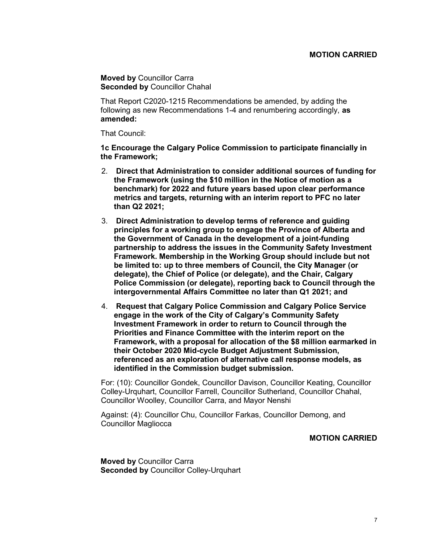### MOTION CARRIED

Moved by Councillor Carra Seconded by Councillor Chahal

That Report C2020-1215 Recommendations be amended, by adding the following as new Recommendations 1-4 and renumbering accordingly, as amended:

That Council:

1c Encourage the Calgary Police Commission to participate financially in the Framework;

- 2. Direct that Administration to consider additional sources of funding for the Framework (using the \$10 million in the Notice of motion as a benchmark) for 2022 and future years based upon clear performance metrics and targets, returning with an interim report to PFC no later than Q2 2021;
- 3. Direct Administration to develop terms of reference and guiding principles for a working group to engage the Province of Alberta and the Government of Canada in the development of a joint-funding partnership to address the issues in the Community Safety Investment Framework. Membership in the Working Group should include but not be limited to: up to three members of Council, the City Manager (or delegate), the Chief of Police (or delegate), and the Chair, Calgary Police Commission (or delegate), reporting back to Council through the intergovernmental Affairs Committee no later than Q1 2021; and
- 4. Request that Calgary Police Commission and Calgary Police Service engage in the work of the City of Calgary's Community Safety Investment Framework in order to return to Council through the Priorities and Finance Committee with the interim report on the Framework, with a proposal for allocation of the \$8 million earmarked in their October 2020 Mid-cycle Budget Adjustment Submission, referenced as an exploration of alternative call response models, as identified in the Commission budget submission.

For: (10): Councillor Gondek, Councillor Davison, Councillor Keating, Councillor Colley-Urquhart, Councillor Farrell, Councillor Sutherland, Councillor Chahal, Councillor Woolley, Councillor Carra, and Mayor Nenshi

Against: (4): Councillor Chu, Councillor Farkas, Councillor Demong, and Councillor Magliocca

### MOTION CARRIED

Moved by Councillor Carra Seconded by Councillor Colley-Urquhart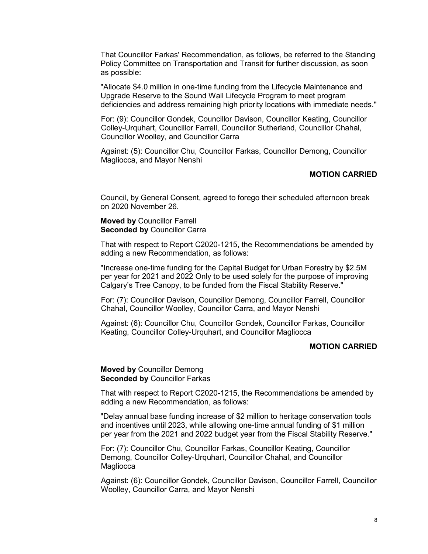That Councillor Farkas' Recommendation, as follows, be referred to the Standing Policy Committee on Transportation and Transit for further discussion, as soon as possible:

"Allocate \$4.0 million in one-time funding from the Lifecycle Maintenance and Upgrade Reserve to the Sound Wall Lifecycle Program to meet program deficiencies and address remaining high priority locations with immediate needs."

For: (9): Councillor Gondek, Councillor Davison, Councillor Keating, Councillor Colley-Urquhart, Councillor Farrell, Councillor Sutherland, Councillor Chahal, Councillor Woolley, and Councillor Carra

Against: (5): Councillor Chu, Councillor Farkas, Councillor Demong, Councillor Magliocca, and Mayor Nenshi

#### MOTION CARRIED

Council, by General Consent, agreed to forego their scheduled afternoon break on 2020 November 26.

### Moved by Councillor Farrell Seconded by Councillor Carra

That with respect to Report C2020-1215, the Recommendations be amended by adding a new Recommendation, as follows:

"Increase one-time funding for the Capital Budget for Urban Forestry by \$2.5M per year for 2021 and 2022 Only to be used solely for the purpose of improving Calgary's Tree Canopy, to be funded from the Fiscal Stability Reserve."

For: (7): Councillor Davison, Councillor Demong, Councillor Farrell, Councillor Chahal, Councillor Woolley, Councillor Carra, and Mayor Nenshi

Against: (6): Councillor Chu, Councillor Gondek, Councillor Farkas, Councillor Keating, Councillor Colley-Urquhart, and Councillor Magliocca

# MOTION CARRIED

### Moved by Councillor Demong Seconded by Councillor Farkas

That with respect to Report C2020-1215, the Recommendations be amended by adding a new Recommendation, as follows:

"Delay annual base funding increase of \$2 million to heritage conservation tools and incentives until 2023, while allowing one-time annual funding of \$1 million per year from the 2021 and 2022 budget year from the Fiscal Stability Reserve."

For: (7): Councillor Chu, Councillor Farkas, Councillor Keating, Councillor Demong, Councillor Colley-Urquhart, Councillor Chahal, and Councillor **Magliocca** 

Against: (6): Councillor Gondek, Councillor Davison, Councillor Farrell, Councillor Woolley, Councillor Carra, and Mayor Nenshi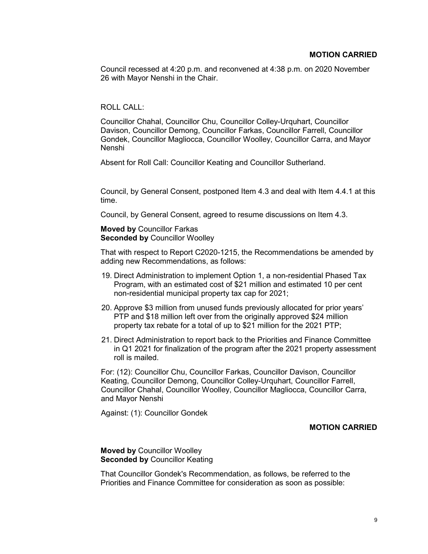Council recessed at 4:20 p.m. and reconvened at 4:38 p.m. on 2020 November 26 with Mayor Nenshi in the Chair.

## ROLL CALL:

Councillor Chahal, Councillor Chu, Councillor Colley-Urquhart, Councillor Davison, Councillor Demong, Councillor Farkas, Councillor Farrell, Councillor Gondek, Councillor Magliocca, Councillor Woolley, Councillor Carra, and Mayor Nenshi

Absent for Roll Call: Councillor Keating and Councillor Sutherland.

Council, by General Consent, postponed Item 4.3 and deal with Item 4.4.1 at this time.

Council, by General Consent, agreed to resume discussions on Item 4.3.

### Moved by Councillor Farkas Seconded by Councillor Woolley

That with respect to Report C2020-1215, the Recommendations be amended by adding new Recommendations, as follows:

- 19. Direct Administration to implement Option 1, a non-residential Phased Tax Program, with an estimated cost of \$21 million and estimated 10 per cent non-residential municipal property tax cap for 2021;
- 20. Approve \$3 million from unused funds previously allocated for prior years' PTP and \$18 million left over from the originally approved \$24 million property tax rebate for a total of up to \$21 million for the 2021 PTP;
- 21. Direct Administration to report back to the Priorities and Finance Committee in Q1 2021 for finalization of the program after the 2021 property assessment roll is mailed.

For: (12): Councillor Chu, Councillor Farkas, Councillor Davison, Councillor Keating, Councillor Demong, Councillor Colley-Urquhart, Councillor Farrell, Councillor Chahal, Councillor Woolley, Councillor Magliocca, Councillor Carra, and Mayor Nenshi

Against: (1): Councillor Gondek

## MOTION CARRIED

### Moved by Councillor Woolley Seconded by Councillor Keating

That Councillor Gondek's Recommendation, as follows, be referred to the Priorities and Finance Committee for consideration as soon as possible: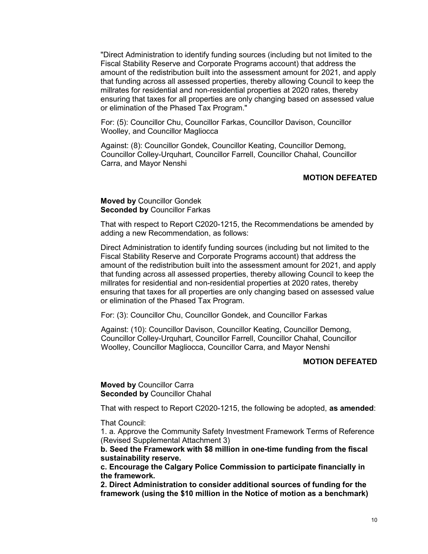"Direct Administration to identify funding sources (including but not limited to the Fiscal Stability Reserve and Corporate Programs account) that address the amount of the redistribution built into the assessment amount for 2021, and apply that funding across all assessed properties, thereby allowing Council to keep the millrates for residential and non-residential properties at 2020 rates, thereby ensuring that taxes for all properties are only changing based on assessed value or elimination of the Phased Tax Program."

For: (5): Councillor Chu, Councillor Farkas, Councillor Davison, Councillor Woolley, and Councillor Magliocca

Against: (8): Councillor Gondek, Councillor Keating, Councillor Demong, Councillor Colley-Urquhart, Councillor Farrell, Councillor Chahal, Councillor Carra, and Mayor Nenshi

#### MOTION DEFEATED

Moved by Councillor Gondek Seconded by Councillor Farkas

That with respect to Report C2020-1215, the Recommendations be amended by adding a new Recommendation, as follows:

Direct Administration to identify funding sources (including but not limited to the Fiscal Stability Reserve and Corporate Programs account) that address the amount of the redistribution built into the assessment amount for 2021, and apply that funding across all assessed properties, thereby allowing Council to keep the millrates for residential and non-residential properties at 2020 rates, thereby ensuring that taxes for all properties are only changing based on assessed value or elimination of the Phased Tax Program.

For: (3): Councillor Chu, Councillor Gondek, and Councillor Farkas

Against: (10): Councillor Davison, Councillor Keating, Councillor Demong, Councillor Colley-Urquhart, Councillor Farrell, Councillor Chahal, Councillor Woolley, Councillor Magliocca, Councillor Carra, and Mayor Nenshi

### MOTION DEFEATED

Moved by Councillor Carra Seconded by Councillor Chahal

That with respect to Report C2020-1215, the following be adopted, as amended:

That Council:

1. a. Approve the Community Safety Investment Framework Terms of Reference (Revised Supplemental Attachment 3)

b. Seed the Framework with \$8 million in one-time funding from the fiscal sustainability reserve.

c. Encourage the Calgary Police Commission to participate financially in the framework.

2. Direct Administration to consider additional sources of funding for the framework (using the \$10 million in the Notice of motion as a benchmark)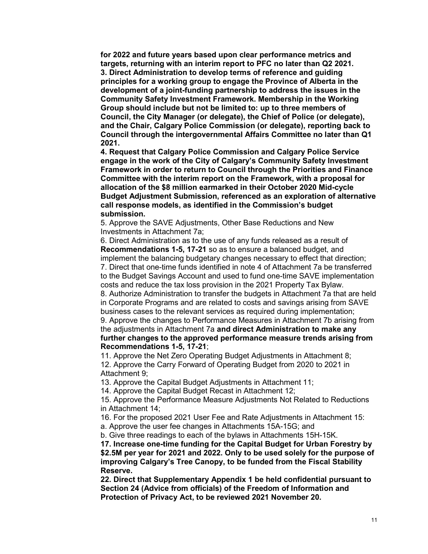for 2022 and future years based upon clear performance metrics and targets, returning with an interim report to PFC no later than Q2 2021. 3. Direct Administration to develop terms of reference and guiding principles for a working group to engage the Province of Alberta in the development of a joint-funding partnership to address the issues in the Community Safety Investment Framework. Membership in the Working Group should include but not be limited to: up to three members of Council, the City Manager (or delegate), the Chief of Police (or delegate), and the Chair, Calgary Police Commission (or delegate), reporting back to Council through the intergovernmental Affairs Committee no later than Q1 2021.

4. Request that Calgary Police Commission and Calgary Police Service engage in the work of the City of Calgary's Community Safety Investment Framework in order to return to Council through the Priorities and Finance Committee with the interim report on the Framework, with a proposal for allocation of the \$8 million earmarked in their October 2020 Mid-cycle Budget Adjustment Submission, referenced as an exploration of alternative call response models, as identified in the Commission's budget submission.

5. Approve the SAVE Adjustments, Other Base Reductions and New Investments in Attachment 7a;

6. Direct Administration as to the use of any funds released as a result of Recommendations 1-5, 17-21 so as to ensure a balanced budget, and implement the balancing budgetary changes necessary to effect that direction; 7. Direct that one-time funds identified in note 4 of Attachment 7a be transferred to the Budget Savings Account and used to fund one-time SAVE implementation

costs and reduce the tax loss provision in the 2021 Property Tax Bylaw.

8. Authorize Administration to transfer the budgets in Attachment 7a that are held in Corporate Programs and are related to costs and savings arising from SAVE business cases to the relevant services as required during implementation;

9. Approve the changes to Performance Measures in Attachment 7b arising from the adjustments in Attachment 7a and direct Administration to make any further changes to the approved performance measure trends arising from Recommendations 1-5, 17-21;

11. Approve the Net Zero Operating Budget Adjustments in Attachment 8;

12. Approve the Carry Forward of Operating Budget from 2020 to 2021 in Attachment 9;

13. Approve the Capital Budget Adjustments in Attachment 11;

14. Approve the Capital Budget Recast in Attachment 12;

15. Approve the Performance Measure Adjustments Not Related to Reductions in Attachment 14;

16. For the proposed 2021 User Fee and Rate Adjustments in Attachment 15:

a. Approve the user fee changes in Attachments 15A-15G; and

b. Give three readings to each of the bylaws in Attachments 15H-15K.

17. Increase one-time funding for the Capital Budget for Urban Forestry by \$2.5M per year for 2021 and 2022. Only to be used solely for the purpose of improving Calgary's Tree Canopy, to be funded from the Fiscal Stability Reserve.

22. Direct that Supplementary Appendix 1 be held confidential pursuant to Section 24 (Advice from officials) of the Freedom of Information and Protection of Privacy Act, to be reviewed 2021 November 20.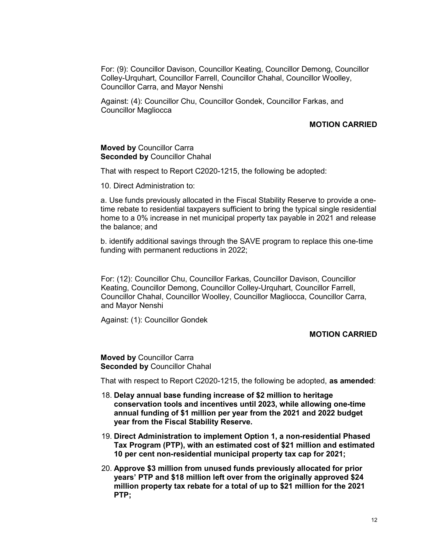For: (9): Councillor Davison, Councillor Keating, Councillor Demong, Councillor Colley-Urquhart, Councillor Farrell, Councillor Chahal, Councillor Woolley, Councillor Carra, and Mayor Nenshi

Against: (4): Councillor Chu, Councillor Gondek, Councillor Farkas, and Councillor Magliocca

## MOTION CARRIED

#### Moved by Councillor Carra Seconded by Councillor Chahal

That with respect to Report C2020-1215, the following be adopted:

10. Direct Administration to:

a. Use funds previously allocated in the Fiscal Stability Reserve to provide a onetime rebate to residential taxpayers sufficient to bring the typical single residential home to a 0% increase in net municipal property tax payable in 2021 and release the balance; and

b. identify additional savings through the SAVE program to replace this one-time funding with permanent reductions in 2022;

For: (12): Councillor Chu, Councillor Farkas, Councillor Davison, Councillor Keating, Councillor Demong, Councillor Colley-Urquhart, Councillor Farrell, Councillor Chahal, Councillor Woolley, Councillor Magliocca, Councillor Carra, and Mayor Nenshi

Against: (1): Councillor Gondek

## MOTION CARRIED

Moved by Councillor Carra Seconded by Councillor Chahal

That with respect to Report C2020-1215, the following be adopted, as amended:

- 18. Delay annual base funding increase of \$2 million to heritage conservation tools and incentives until 2023, while allowing one-time annual funding of \$1 million per year from the 2021 and 2022 budget year from the Fiscal Stability Reserve.
- 19. Direct Administration to implement Option 1, a non-residential Phased Tax Program (PTP), with an estimated cost of \$21 million and estimated 10 per cent non-residential municipal property tax cap for 2021;
- 20. Approve \$3 million from unused funds previously allocated for prior years' PTP and \$18 million left over from the originally approved \$24 million property tax rebate for a total of up to \$21 million for the 2021 PTP;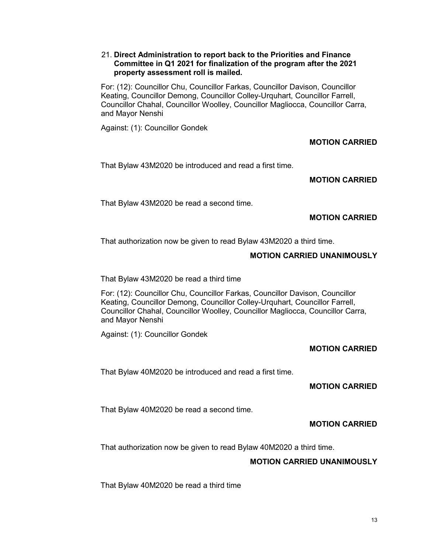### 21. Direct Administration to report back to the Priorities and Finance Committee in Q1 2021 for finalization of the program after the 2021 property assessment roll is mailed.

For: (12): Councillor Chu, Councillor Farkas, Councillor Davison, Councillor Keating, Councillor Demong, Councillor Colley-Urquhart, Councillor Farrell, Councillor Chahal, Councillor Woolley, Councillor Magliocca, Councillor Carra, and Mayor Nenshi

Against: (1): Councillor Gondek

## MOTION CARRIED

That Bylaw 43M2020 be introduced and read a first time.

## MOTION CARRIED

That Bylaw 43M2020 be read a second time.

## MOTION CARRIED

That authorization now be given to read Bylaw 43M2020 a third time.

## MOTION CARRIED UNANIMOUSLY

That Bylaw 43M2020 be read a third time

For: (12): Councillor Chu, Councillor Farkas, Councillor Davison, Councillor Keating, Councillor Demong, Councillor Colley-Urquhart, Councillor Farrell, Councillor Chahal, Councillor Woolley, Councillor Magliocca, Councillor Carra, and Mayor Nenshi

Against: (1): Councillor Gondek

## MOTION CARRIED

That Bylaw 40M2020 be introduced and read a first time.

## MOTION CARRIED

That Bylaw 40M2020 be read a second time.

## MOTION CARRIED

That authorization now be given to read Bylaw 40M2020 a third time.

## MOTION CARRIED UNANIMOUSLY

That Bylaw 40M2020 be read a third time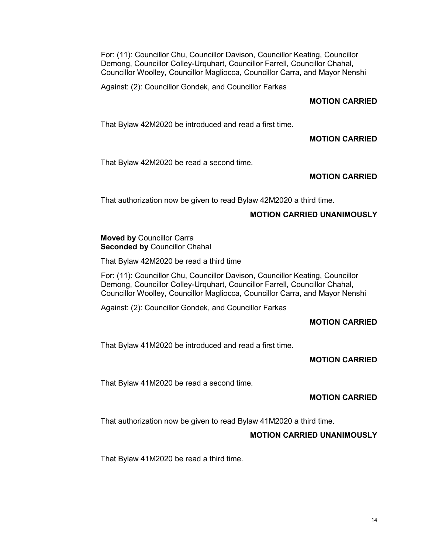For: (11): Councillor Chu, Councillor Davison, Councillor Keating, Councillor Demong, Councillor Colley-Urquhart, Councillor Farrell, Councillor Chahal, Councillor Woolley, Councillor Magliocca, Councillor Carra, and Mayor Nenshi

Against: (2): Councillor Gondek, and Councillor Farkas

## MOTION CARRIED

That Bylaw 42M2020 be introduced and read a first time.

## MOTION CARRIED

That Bylaw 42M2020 be read a second time.

# MOTION CARRIED

That authorization now be given to read Bylaw 42M2020 a third time.

## MOTION CARRIED UNANIMOUSLY

### Moved by Councillor Carra Seconded by Councillor Chahal

That Bylaw 42M2020 be read a third time

For: (11): Councillor Chu, Councillor Davison, Councillor Keating, Councillor Demong, Councillor Colley-Urquhart, Councillor Farrell, Councillor Chahal, Councillor Woolley, Councillor Magliocca, Councillor Carra, and Mayor Nenshi

Against: (2): Councillor Gondek, and Councillor Farkas

## MOTION CARRIED

That Bylaw 41M2020 be introduced and read a first time.

## MOTION CARRIED

That Bylaw 41M2020 be read a second time.

## MOTION CARRIED

That authorization now be given to read Bylaw 41M2020 a third time.

## MOTION CARRIED UNANIMOUSLY

That Bylaw 41M2020 be read a third time.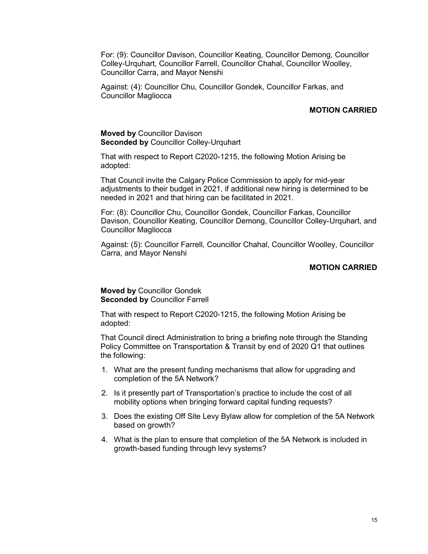For: (9): Councillor Davison, Councillor Keating, Councillor Demong, Councillor Colley-Urquhart, Councillor Farrell, Councillor Chahal, Councillor Woolley, Councillor Carra, and Mayor Nenshi

Against: (4): Councillor Chu, Councillor Gondek, Councillor Farkas, and Councillor Magliocca

### MOTION CARRIED

#### Moved by Councillor Davison Seconded by Councillor Colley-Urquhart

That with respect to Report C2020-1215, the following Motion Arising be adopted:

That Council invite the Calgary Police Commission to apply for mid-year adjustments to their budget in 2021, if additional new hiring is determined to be needed in 2021 and that hiring can be facilitated in 2021.

For: (8): Councillor Chu, Councillor Gondek, Councillor Farkas, Councillor Davison, Councillor Keating, Councillor Demong, Councillor Colley-Urquhart, and Councillor Magliocca

Against: (5): Councillor Farrell, Councillor Chahal, Councillor Woolley, Councillor Carra, and Mayor Nenshi

### MOTION CARRIED

### Moved by Councillor Gondek Seconded by Councillor Farrell

That with respect to Report C2020-1215, the following Motion Arising be adopted:

That Council direct Administration to bring a briefing note through the Standing Policy Committee on Transportation & Transit by end of 2020 Q1 that outlines the following:

- 1. What are the present funding mechanisms that allow for upgrading and completion of the 5A Network?
- 2. Is it presently part of Transportation's practice to include the cost of all mobility options when bringing forward capital funding requests?
- 3. Does the existing Off Site Levy Bylaw allow for completion of the 5A Network based on growth?
- 4. What is the plan to ensure that completion of the 5A Network is included in growth-based funding through levy systems?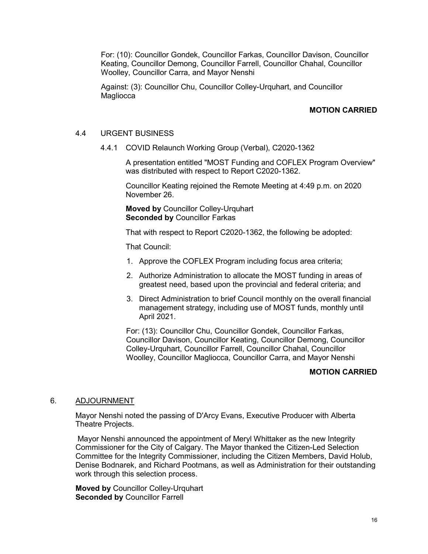For: (10): Councillor Gondek, Councillor Farkas, Councillor Davison, Councillor Keating, Councillor Demong, Councillor Farrell, Councillor Chahal, Councillor Woolley, Councillor Carra, and Mayor Nenshi

Against: (3): Councillor Chu, Councillor Colley-Urquhart, and Councillor **Magliocca** 

## MOTION CARRIED

### 4.4 URGENT BUSINESS

4.4.1 COVID Relaunch Working Group (Verbal), C2020-1362

A presentation entitled "MOST Funding and COFLEX Program Overview" was distributed with respect to Report C2020-1362.

Councillor Keating rejoined the Remote Meeting at 4:49 p.m. on 2020 November 26.

Moved by Councillor Colley-Urquhart Seconded by Councillor Farkas

That with respect to Report C2020-1362, the following be adopted:

That Council:

- 1. Approve the COFLEX Program including focus area criteria;
- 2. Authorize Administration to allocate the MOST funding in areas of greatest need, based upon the provincial and federal criteria; and
- 3. Direct Administration to brief Council monthly on the overall financial management strategy, including use of MOST funds, monthly until April 2021.

For: (13): Councillor Chu, Councillor Gondek, Councillor Farkas, Councillor Davison, Councillor Keating, Councillor Demong, Councillor Colley-Urquhart, Councillor Farrell, Councillor Chahal, Councillor Woolley, Councillor Magliocca, Councillor Carra, and Mayor Nenshi

### MOTION CARRIED

#### 6. ADJOURNMENT

Mayor Nenshi noted the passing of D'Arcy Evans, Executive Producer with Alberta Theatre Projects.

 Mayor Nenshi announced the appointment of Meryl Whittaker as the new Integrity Commissioner for the City of Calgary. The Mayor thanked the Citizen-Led Selection Committee for the Integrity Commissioner, including the Citizen Members, David Holub, Denise Bodnarek, and Richard Pootmans, as well as Administration for their outstanding work through this selection process.

Moved by Councillor Colley-Urquhart Seconded by Councillor Farrell